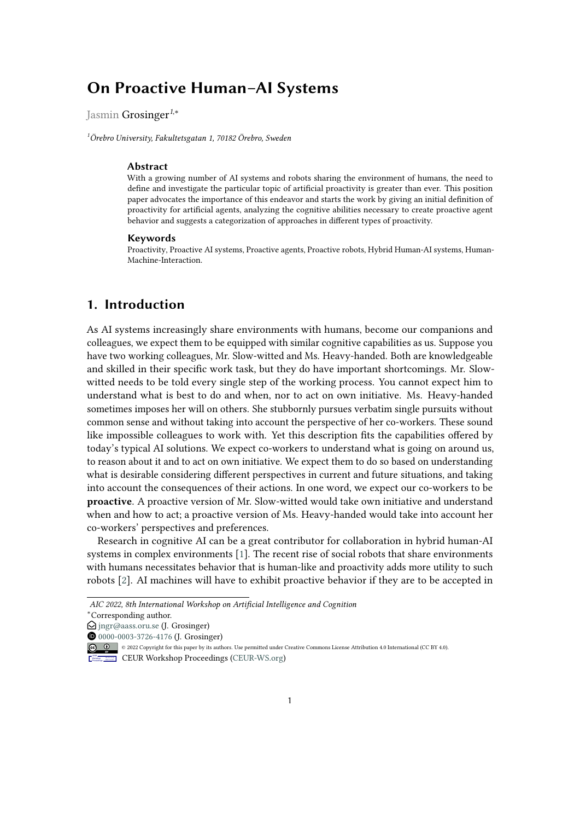# **On Proactive Human–AI Systems**

Jasmin Grosinger*<sup>1</sup>*,\*

*<sup>1</sup>Örebro University, Fakultetsgatan 1, 70182 Örebro, Sweden*

#### **Abstract**

With a growing number of AI systems and robots sharing the environment of humans, the need to define and investigate the particular topic of artificial proactivity is greater than ever. This position paper advocates the importance of this endeavor and starts the work by giving an initial definition of proactivity for artificial agents, analyzing the cognitive abilities necessary to create proactive agent behavior and suggests a categorization of approaches in different types of proactivity.

#### **Keywords**

Proactivity, Proactive AI systems, Proactive agents, Proactive robots, Hybrid Human-AI systems, Human-Machine-Interaction.

# <span id="page-0-0"></span>**1. Introduction**

As AI systems increasingly share environments with humans, become our companions and colleagues, we expect them to be equipped with similar cognitive capabilities as us. Suppose you have two working colleagues, Mr. Slow-witted and Ms. Heavy-handed. Both are knowledgeable and skilled in their specific work task, but they do have important shortcomings. Mr. Slowwitted needs to be told every single step of the working process. You cannot expect him to understand what is best to do and when, nor to act on own initiative. Ms. Heavy-handed sometimes imposes her will on others. She stubbornly pursues verbatim single pursuits without common sense and without taking into account the perspective of her co-workers. These sound like impossible colleagues to work with. Yet this description fits the capabilities offered by today's typical AI solutions. We expect co-workers to understand what is going on around us, to reason about it and to act on own initiative. We expect them to do so based on understanding what is desirable considering different perspectives in current and future situations, and taking into account the consequences of their actions. In one word, we expect our co-workers to be **proactive**. A proactive version of Mr. Slow-witted would take own initiative and understand when and how to act; a proactive version of Ms. Heavy-handed would take into account her co-workers' perspectives and preferences.

Research in cognitive AI can be a great contributor for collaboration in hybrid human-AI systems in complex environments [\[1\]](#page-5-0). The recent rise of social robots that share environments with humans necessitates behavior that is human-like and proactivity adds more utility to such robots [\[2\]](#page-5-1). AI machines will have to exhibit proactive behavior if they are to be accepted in

**CEUR Workshop [Proceedings](http://ceur-ws.org) [\(CEUR-WS.org\)](http://ceur-ws.org)** 

*AIC 2022, 8th International Workshop on Artificial Intelligence and Cognition* \*Corresponding author.

 $\bigcirc$  [jngr@aass.oru.se](mailto:jngr@aass.oru.se) (J. Grosinger)

[0000-0003-3726-4176](https://orcid.org/0000-0003-3726-4176) (J. Grosinger)

<sup>©</sup> 2022 Copyright for this paper by its authors. Use permitted under Creative Commons License Attribution 4.0 International (CC BY 4.0).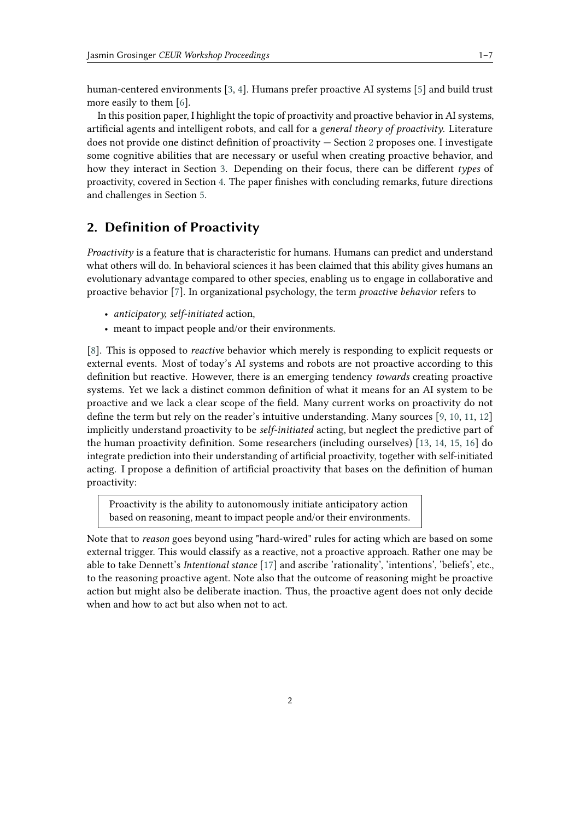human-centered environments [\[3,](#page-5-2) [4\]](#page-5-3). Humans prefer proactive AI systems [\[5\]](#page-5-4) and build trust more easily to them [\[6\]](#page-5-5).

In this position paper, I highlight the topic of proactivity and proactive behavior in AI systems, artificial agents and intelligent robots, and call for a *general theory of proactivity*. Literature does not provide one distinct definition of proactivity — Section [2](#page-1-0) proposes one. I investigate some cognitive abilities that are necessary or useful when creating proactive behavior, and how they interact in Section [3.](#page-2-0) Depending on their focus, there can be different *types* of proactivity, covered in Section [4.](#page-3-0) The paper finishes with concluding remarks, future directions and challenges in Section [5.](#page-4-0)

## <span id="page-1-0"></span>**2. Definition of Proactivity**

*Proactivity* is a feature that is characteristic for humans. Humans can predict and understand what others will do. In behavioral sciences it has been claimed that this ability gives humans an evolutionary advantage compared to other species, enabling us to engage in collaborative and proactive behavior [\[7\]](#page-5-6). In organizational psychology, the term *proactive behavior* refers to

- *anticipatory, self-initiated* action,
- meant to impact people and/or their environments.

[\[8\]](#page-5-7). This is opposed to *reactive* behavior which merely is responding to explicit requests or external events. Most of today's AI systems and robots are not proactive according to this definition but reactive. However, there is an emerging tendency *towards* creating proactive systems. Yet we lack a distinct common definition of what it means for an AI system to be proactive and we lack a clear scope of the field. Many current works on proactivity do not define the term but rely on the reader's intuitive understanding. Many sources [\[9,](#page-5-8) [10,](#page-5-9) [11,](#page-5-10) [12\]](#page-5-11) implicitly understand proactivity to be *self-initiated* acting, but neglect the predictive part of the human proactivity definition. Some researchers (including ourselves) [\[13,](#page-5-12) [14,](#page-5-13) [15,](#page-5-14) [16\]](#page-5-15) do integrate prediction into their understanding of artificial proactivity, together with self-initiated acting. I propose a definition of artificial proactivity that bases on the definition of human proactivity:

Proactivity is the ability to autonomously initiate anticipatory action based on reasoning, meant to impact people and/or their environments.

Note that to *reason* goes beyond using "hard-wired" rules for acting which are based on some external trigger. This would classify as a reactive, not a proactive approach. Rather one may be able to take Dennett's *Intentional stance* [\[17\]](#page-6-0) and ascribe 'rationality', 'intentions', 'beliefs', etc., to the reasoning proactive agent. Note also that the outcome of reasoning might be proactive action but might also be deliberate inaction. Thus, the proactive agent does not only decide when and how to act but also when not to act.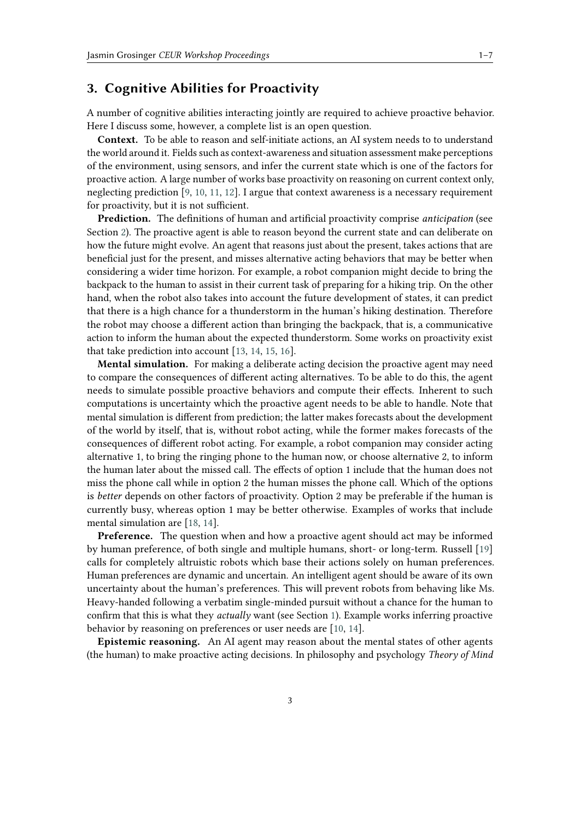### <span id="page-2-0"></span>**3. Cognitive Abilities for Proactivity**

A number of cognitive abilities interacting jointly are required to achieve proactive behavior. Here I discuss some, however, a complete list is an open question.

**Context.** To be able to reason and self-initiate actions, an AI system needs to to understand the world around it. Fields such as context-awareness and situation assessment make perceptions of the environment, using sensors, and infer the current state which is one of the factors for proactive action. A large number of works base proactivity on reasoning on current context only, neglecting prediction [\[9,](#page-5-8) [10,](#page-5-9) [11,](#page-5-10) [12\]](#page-5-11). I argue that context awareness is a necessary requirement for proactivity, but it is not sufficient.

**Prediction.** The definitions of human and artificial proactivity comprise *anticipation* (see Section [2\)](#page-1-0). The proactive agent is able to reason beyond the current state and can deliberate on how the future might evolve. An agent that reasons just about the present, takes actions that are beneficial just for the present, and misses alternative acting behaviors that may be better when considering a wider time horizon. For example, a robot companion might decide to bring the backpack to the human to assist in their current task of preparing for a hiking trip. On the other hand, when the robot also takes into account the future development of states, it can predict that there is a high chance for a thunderstorm in the human's hiking destination. Therefore the robot may choose a different action than bringing the backpack, that is, a communicative action to inform the human about the expected thunderstorm. Some works on proactivity exist that take prediction into account [\[13,](#page-5-12) [14,](#page-5-13) [15,](#page-5-14) [16\]](#page-5-15).

**Mental simulation.** For making a deliberate acting decision the proactive agent may need to compare the consequences of different acting alternatives. To be able to do this, the agent needs to simulate possible proactive behaviors and compute their effects. Inherent to such computations is uncertainty which the proactive agent needs to be able to handle. Note that mental simulation is different from prediction; the latter makes forecasts about the development of the world by itself, that is, without robot acting, while the former makes forecasts of the consequences of different robot acting. For example, a robot companion may consider acting alternative 1, to bring the ringing phone to the human now, or choose alternative 2, to inform the human later about the missed call. The effects of option 1 include that the human does not miss the phone call while in option 2 the human misses the phone call. Which of the options is *better* depends on other factors of proactivity. Option 2 may be preferable if the human is currently busy, whereas option 1 may be better otherwise. Examples of works that include mental simulation are [\[18,](#page-6-1) [14\]](#page-5-13).

**Preference.** The question when and how a proactive agent should act may be informed by human preference, of both single and multiple humans, short- or long-term. Russell [\[19\]](#page-6-2) calls for completely altruistic robots which base their actions solely on human preferences. Human preferences are dynamic and uncertain. An intelligent agent should be aware of its own uncertainty about the human's preferences. This will prevent robots from behaving like Ms. Heavy-handed following a verbatim single-minded pursuit without a chance for the human to confirm that this is what they *actually* want (see Section [1\)](#page-0-0). Example works inferring proactive behavior by reasoning on preferences or user needs are [\[10,](#page-5-9) [14\]](#page-5-13).

**Epistemic reasoning.** An AI agent may reason about the mental states of other agents (the human) to make proactive acting decisions. In philosophy and psychology *Theory of Mind*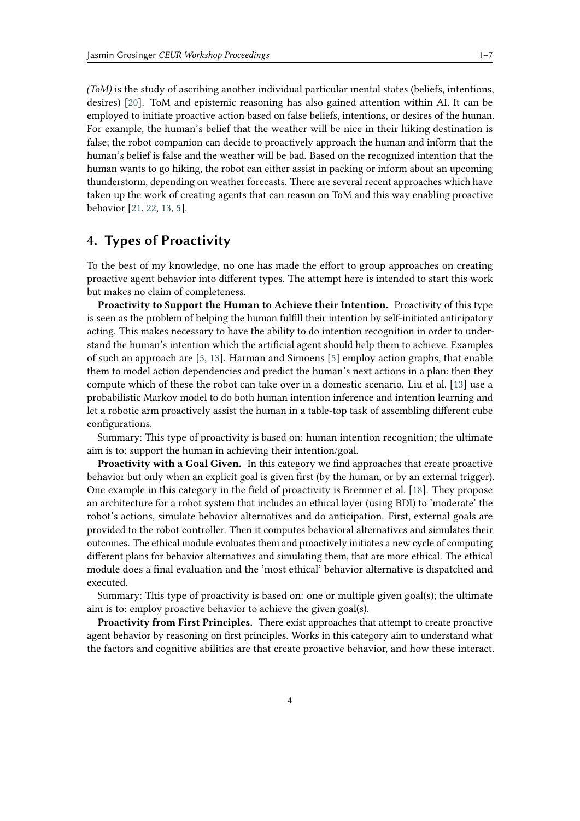*(ToM)* is the study of ascribing another individual particular mental states (beliefs, intentions, desires) [\[20\]](#page-6-3). ToM and epistemic reasoning has also gained attention within AI. It can be employed to initiate proactive action based on false beliefs, intentions, or desires of the human. For example, the human's belief that the weather will be nice in their hiking destination is false; the robot companion can decide to proactively approach the human and inform that the human's belief is false and the weather will be bad. Based on the recognized intention that the human wants to go hiking, the robot can either assist in packing or inform about an upcoming thunderstorm, depending on weather forecasts. There are several recent approaches which have taken up the work of creating agents that can reason on ToM and this way enabling proactive behavior [\[21,](#page-6-4) [22,](#page-6-5) [13,](#page-5-12) [5\]](#page-5-4).

## <span id="page-3-0"></span>**4. Types of Proactivity**

To the best of my knowledge, no one has made the effort to group approaches on creating proactive agent behavior into different types. The attempt here is intended to start this work but makes no claim of completeness.

**Proactivity to Support the Human to Achieve their Intention.** Proactivity of this type is seen as the problem of helping the human fulfill their intention by self-initiated anticipatory acting. This makes necessary to have the ability to do intention recognition in order to understand the human's intention which the artificial agent should help them to achieve. Examples of such an approach are [\[5,](#page-5-4) [13\]](#page-5-12). Harman and Simoens [\[5\]](#page-5-4) employ action graphs, that enable them to model action dependencies and predict the human's next actions in a plan; then they compute which of these the robot can take over in a domestic scenario. Liu et al. [\[13\]](#page-5-12) use a probabilistic Markov model to do both human intention inference and intention learning and let a robotic arm proactively assist the human in a table-top task of assembling different cube configurations.

Summary: This type of proactivity is based on: human intention recognition; the ultimate aim is to: support the human in achieving their intention/goal.

**Proactivity with a Goal Given.** In this category we find approaches that create proactive behavior but only when an explicit goal is given first (by the human, or by an external trigger). One example in this category in the field of proactivity is Bremner et al. [\[18\]](#page-6-1). They propose an architecture for a robot system that includes an ethical layer (using BDI) to 'moderate' the robot's actions, simulate behavior alternatives and do anticipation. First, external goals are provided to the robot controller. Then it computes behavioral alternatives and simulates their outcomes. The ethical module evaluates them and proactively initiates a new cycle of computing different plans for behavior alternatives and simulating them, that are more ethical. The ethical module does a final evaluation and the 'most ethical' behavior alternative is dispatched and executed.

Summary: This type of proactivity is based on: one or multiple given goal(s); the ultimate aim is to: employ proactive behavior to achieve the given goal(s).

**Proactivity from First Principles.** There exist approaches that attempt to create proactive agent behavior by reasoning on first principles. Works in this category aim to understand what the factors and cognitive abilities are that create proactive behavior, and how these interact.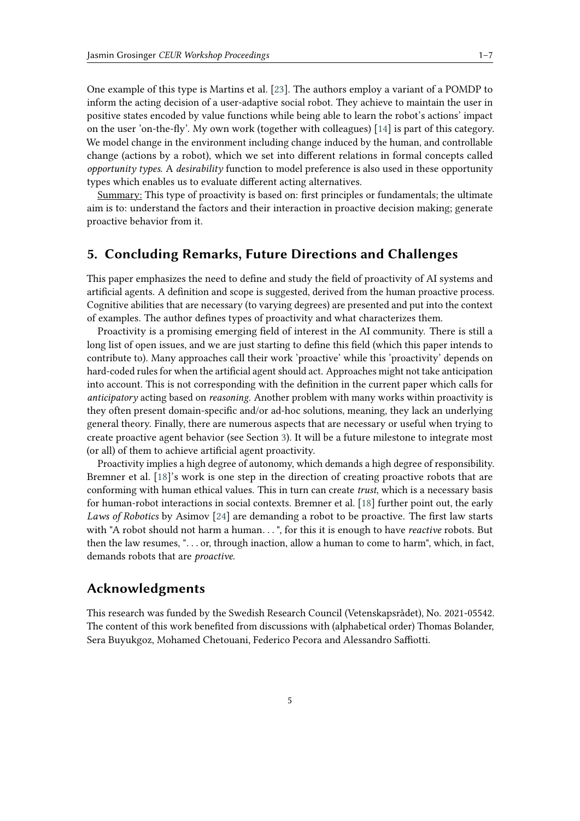One example of this type is Martins et al. [\[23\]](#page-6-6). The authors employ a variant of a POMDP to inform the acting decision of a user-adaptive social robot. They achieve to maintain the user in positive states encoded by value functions while being able to learn the robot's actions' impact on the user 'on-the-fly'. My own work (together with colleagues) [\[14\]](#page-5-13) is part of this category. We model change in the environment including change induced by the human, and controllable change (actions by a robot), which we set into different relations in formal concepts called *opportunity types*. A *desirability* function to model preference is also used in these opportunity types which enables us to evaluate different acting alternatives.

Summary: This type of proactivity is based on: first principles or fundamentals; the ultimate aim is to: understand the factors and their interaction in proactive decision making; generate proactive behavior from it.

# <span id="page-4-0"></span>**5. Concluding Remarks, Future Directions and Challenges**

This paper emphasizes the need to define and study the field of proactivity of AI systems and artificial agents. A definition and scope is suggested, derived from the human proactive process. Cognitive abilities that are necessary (to varying degrees) are presented and put into the context of examples. The author defines types of proactivity and what characterizes them.

Proactivity is a promising emerging field of interest in the AI community. There is still a long list of open issues, and we are just starting to define this field (which this paper intends to contribute to). Many approaches call their work 'proactive' while this 'proactivity' depends on hard-coded rules for when the artificial agent should act. Approaches might not take anticipation into account. This is not corresponding with the definition in the current paper which calls for *anticipatory* acting based on *reasoning*. Another problem with many works within proactivity is they often present domain-specific and/or ad-hoc solutions, meaning, they lack an underlying general theory. Finally, there are numerous aspects that are necessary or useful when trying to create proactive agent behavior (see Section [3\)](#page-2-0). It will be a future milestone to integrate most (or all) of them to achieve artificial agent proactivity.

Proactivity implies a high degree of autonomy, which demands a high degree of responsibility. Bremner et al. [\[18\]](#page-6-1)'s work is one step in the direction of creating proactive robots that are conforming with human ethical values. This in turn can create *trust*, which is a necessary basis for human-robot interactions in social contexts. Bremner et al. [\[18\]](#page-6-1) further point out, the early *Laws of Robotics* by Asimov [\[24\]](#page-6-7) are demanding a robot to be proactive. The first law starts with "A robot should not harm a human. . . ", for this it is enough to have *reactive* robots. But then the law resumes, ". . . or, through inaction, allow a human to come to harm", which, in fact, demands robots that are *proactive*.

#### **Acknowledgments**

This research was funded by the Swedish Research Council (Vetenskapsrådet), No. 2021-05542. The content of this work benefited from discussions with (alphabetical order) Thomas Bolander, Sera Buyukgoz, Mohamed Chetouani, Federico Pecora and Alessandro Saffiotti.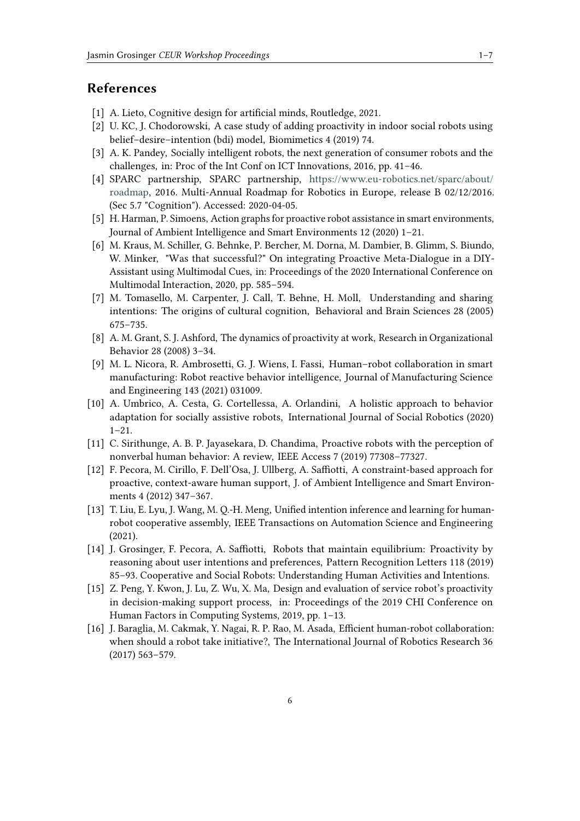# **References**

- <span id="page-5-0"></span>[1] A. Lieto, Cognitive design for artificial minds, Routledge, 2021.
- <span id="page-5-1"></span>[2] U. KC, J. Chodorowski, A case study of adding proactivity in indoor social robots using belief–desire–intention (bdi) model, Biomimetics 4 (2019) 74.
- <span id="page-5-2"></span>[3] A. K. Pandey, Socially intelligent robots, the next generation of consumer robots and the challenges, in: Proc of the Int Conf on ICT Innovations, 2016, pp. 41–46.
- <span id="page-5-3"></span>[4] SPARC partnership, SPARC partnership, [https://www.eu-robotics.net/sparc/about/](https://www.eu-robotics.net/sparc/about/roadmap) [roadmap,](https://www.eu-robotics.net/sparc/about/roadmap) 2016. Multi-Annual Roadmap for Robotics in Europe, release B 02/12/2016. (Sec 5.7 "Cognition"). Accessed: 2020-04-05.
- <span id="page-5-4"></span>[5] H. Harman, P. Simoens, Action graphs for proactive robot assistance in smart environments, Journal of Ambient Intelligence and Smart Environments 12 (2020) 1–21.
- <span id="page-5-5"></span>[6] M. Kraus, M. Schiller, G. Behnke, P. Bercher, M. Dorna, M. Dambier, B. Glimm, S. Biundo, W. Minker, "Was that successful?" On integrating Proactive Meta-Dialogue in a DIY-Assistant using Multimodal Cues, in: Proceedings of the 2020 International Conference on Multimodal Interaction, 2020, pp. 585–594.
- <span id="page-5-6"></span>[7] M. Tomasello, M. Carpenter, J. Call, T. Behne, H. Moll, Understanding and sharing intentions: The origins of cultural cognition, Behavioral and Brain Sciences 28 (2005) 675–735.
- <span id="page-5-7"></span>[8] A. M. Grant, S. J. Ashford, The dynamics of proactivity at work, Research in Organizational Behavior 28 (2008) 3–34.
- <span id="page-5-8"></span>[9] M. L. Nicora, R. Ambrosetti, G. J. Wiens, I. Fassi, Human–robot collaboration in smart manufacturing: Robot reactive behavior intelligence, Journal of Manufacturing Science and Engineering 143 (2021) 031009.
- <span id="page-5-9"></span>[10] A. Umbrico, A. Cesta, G. Cortellessa, A. Orlandini, A holistic approach to behavior adaptation for socially assistive robots, International Journal of Social Robotics (2020) 1–21.
- <span id="page-5-10"></span>[11] C. Sirithunge, A. B. P. Jayasekara, D. Chandima, Proactive robots with the perception of nonverbal human behavior: A review, IEEE Access 7 (2019) 77308–77327.
- <span id="page-5-11"></span>[12] F. Pecora, M. Cirillo, F. Dell'Osa, J. Ullberg, A. Saffiotti, A constraint-based approach for proactive, context-aware human support, J. of Ambient Intelligence and Smart Environments 4 (2012) 347–367.
- <span id="page-5-12"></span>[13] T. Liu, E. Lyu, J. Wang, M. Q.-H. Meng, Unified intention inference and learning for humanrobot cooperative assembly, IEEE Transactions on Automation Science and Engineering (2021).
- <span id="page-5-13"></span>[14] J. Grosinger, F. Pecora, A. Saffiotti, Robots that maintain equilibrium: Proactivity by reasoning about user intentions and preferences, Pattern Recognition Letters 118 (2019) 85–93. Cooperative and Social Robots: Understanding Human Activities and Intentions.
- <span id="page-5-14"></span>[15] Z. Peng, Y. Kwon, J. Lu, Z. Wu, X. Ma, Design and evaluation of service robot's proactivity in decision-making support process, in: Proceedings of the 2019 CHI Conference on Human Factors in Computing Systems, 2019, pp. 1–13.
- <span id="page-5-15"></span>[16] J. Baraglia, M. Cakmak, Y. Nagai, R. P. Rao, M. Asada, Efficient human-robot collaboration: when should a robot take initiative?, The International Journal of Robotics Research 36 (2017) 563–579.